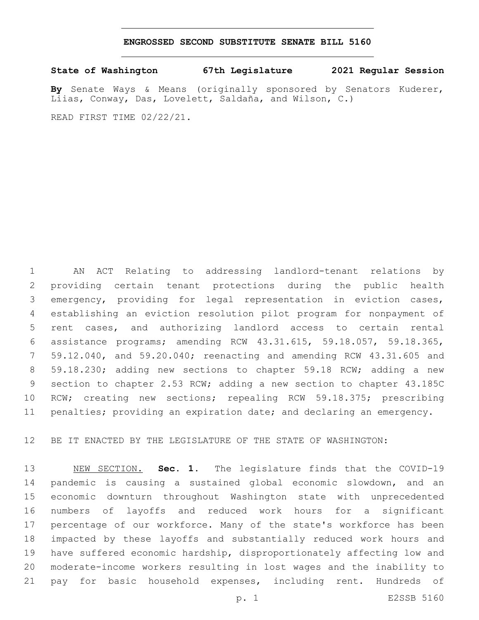#### **ENGROSSED SECOND SUBSTITUTE SENATE BILL 5160**

**State of Washington 67th Legislature 2021 Regular Session**

**By** Senate Ways & Means (originally sponsored by Senators Kuderer, Liias, Conway, Das, Lovelett, Saldaña, and Wilson, C.)

READ FIRST TIME 02/22/21.

 AN ACT Relating to addressing landlord-tenant relations by providing certain tenant protections during the public health emergency, providing for legal representation in eviction cases, establishing an eviction resolution pilot program for nonpayment of rent cases, and authorizing landlord access to certain rental assistance programs; amending RCW 43.31.615, 59.18.057, 59.18.365, 59.12.040, and 59.20.040; reenacting and amending RCW 43.31.605 and 59.18.230; adding new sections to chapter 59.18 RCW; adding a new section to chapter 2.53 RCW; adding a new section to chapter 43.185C RCW; creating new sections; repealing RCW 59.18.375; prescribing penalties; providing an expiration date; and declaring an emergency.

BE IT ENACTED BY THE LEGISLATURE OF THE STATE OF WASHINGTON:

 NEW SECTION. **Sec. 1.** The legislature finds that the COVID-19 pandemic is causing a sustained global economic slowdown, and an economic downturn throughout Washington state with unprecedented numbers of layoffs and reduced work hours for a significant percentage of our workforce. Many of the state's workforce has been impacted by these layoffs and substantially reduced work hours and have suffered economic hardship, disproportionately affecting low and moderate-income workers resulting in lost wages and the inability to pay for basic household expenses, including rent. Hundreds of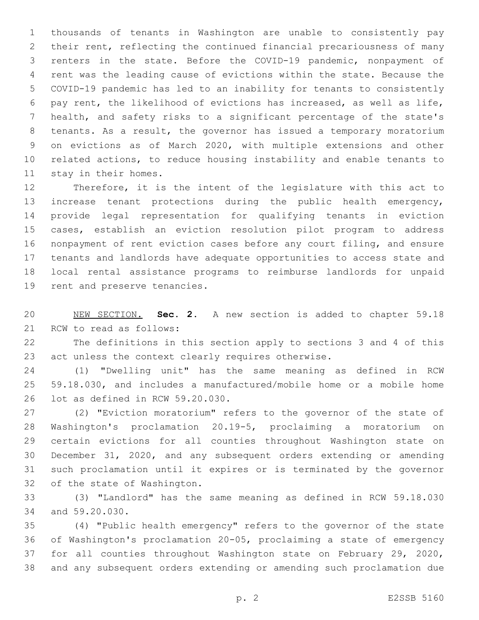thousands of tenants in Washington are unable to consistently pay their rent, reflecting the continued financial precariousness of many renters in the state. Before the COVID-19 pandemic, nonpayment of rent was the leading cause of evictions within the state. Because the COVID-19 pandemic has led to an inability for tenants to consistently pay rent, the likelihood of evictions has increased, as well as life, health, and safety risks to a significant percentage of the state's tenants. As a result, the governor has issued a temporary moratorium on evictions as of March 2020, with multiple extensions and other related actions, to reduce housing instability and enable tenants to 11 stay in their homes.

 Therefore, it is the intent of the legislature with this act to increase tenant protections during the public health emergency, provide legal representation for qualifying tenants in eviction cases, establish an eviction resolution pilot program to address nonpayment of rent eviction cases before any court filing, and ensure tenants and landlords have adequate opportunities to access state and local rental assistance programs to reimburse landlords for unpaid 19 rent and preserve tenancies.

 NEW SECTION. **Sec. 2.** A new section is added to chapter 59.18 21 RCW to read as follows:

 The definitions in this section apply to sections 3 and 4 of this act unless the context clearly requires otherwise.

 (1) "Dwelling unit" has the same meaning as defined in RCW 59.18.030, and includes a manufactured/mobile home or a mobile home 26 lot as defined in RCW 59.20.030.

 (2) "Eviction moratorium" refers to the governor of the state of Washington's proclamation 20.19-5, proclaiming a moratorium on certain evictions for all counties throughout Washington state on December 31, 2020, and any subsequent orders extending or amending such proclamation until it expires or is terminated by the governor 32 of the state of Washington.

 (3) "Landlord" has the same meaning as defined in RCW 59.18.030 34 and 59.20.030.

 (4) "Public health emergency" refers to the governor of the state of Washington's proclamation 20-05, proclaiming a state of emergency for all counties throughout Washington state on February 29, 2020, and any subsequent orders extending or amending such proclamation due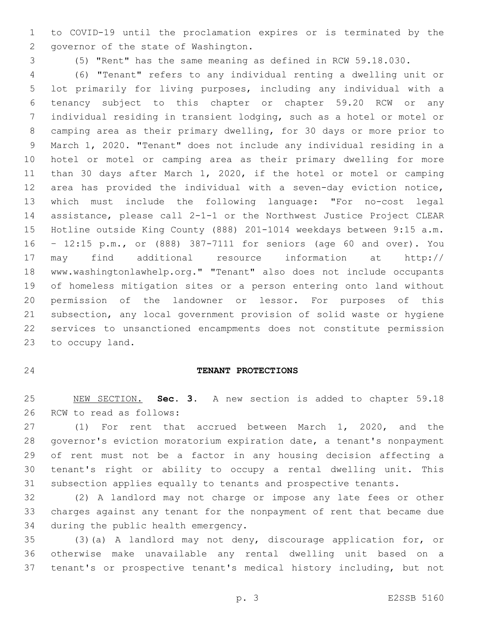to COVID-19 until the proclamation expires or is terminated by the 2 governor of the state of Washington.

(5) "Rent" has the same meaning as defined in RCW 59.18.030.

 (6) "Tenant" refers to any individual renting a dwelling unit or lot primarily for living purposes, including any individual with a tenancy subject to this chapter or chapter 59.20 RCW or any individual residing in transient lodging, such as a hotel or motel or camping area as their primary dwelling, for 30 days or more prior to March 1, 2020. "Tenant" does not include any individual residing in a hotel or motel or camping area as their primary dwelling for more than 30 days after March 1, 2020, if the hotel or motel or camping area has provided the individual with a seven-day eviction notice, which must include the following language: "For no-cost legal assistance, please call 2-1-1 or the Northwest Justice Project CLEAR Hotline outside King County (888) 201-1014 weekdays between 9:15 a.m. – 12:15 p.m., or (888) 387-7111 for seniors (age 60 and over). You may find additional resource information at http:// www.washingtonlawhelp.org." "Tenant" also does not include occupants of homeless mitigation sites or a person entering onto land without permission of the landowner or lessor. For purposes of this subsection, any local government provision of solid waste or hygiene services to unsanctioned encampments does not constitute permission 23 to occupy land.

#### **TENANT PROTECTIONS**

 NEW SECTION. **Sec. 3.** A new section is added to chapter 59.18 26 RCW to read as follows:

 (1) For rent that accrued between March 1, 2020, and the governor's eviction moratorium expiration date, a tenant's nonpayment of rent must not be a factor in any housing decision affecting a tenant's right or ability to occupy a rental dwelling unit. This subsection applies equally to tenants and prospective tenants.

 (2) A landlord may not charge or impose any late fees or other charges against any tenant for the nonpayment of rent that became due 34 during the public health emergency.

 (3)(a) A landlord may not deny, discourage application for, or otherwise make unavailable any rental dwelling unit based on a tenant's or prospective tenant's medical history including, but not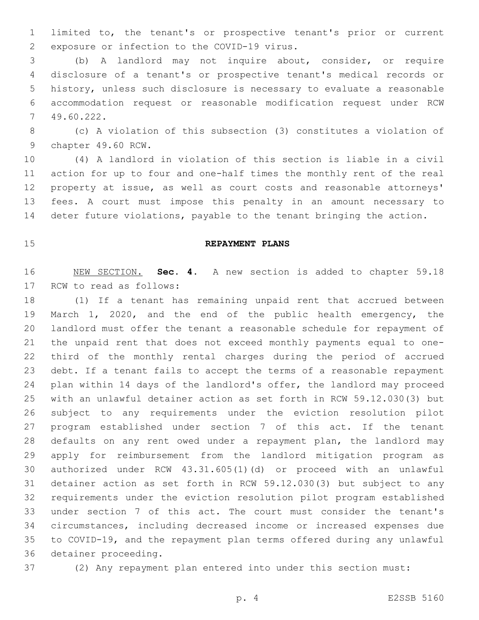limited to, the tenant's or prospective tenant's prior or current 2 exposure or infection to the COVID-19 virus.

 (b) A landlord may not inquire about, consider, or require disclosure of a tenant's or prospective tenant's medical records or history, unless such disclosure is necessary to evaluate a reasonable accommodation request or reasonable modification request under RCW 49.60.222.7

 (c) A violation of this subsection (3) constitutes a violation of 9 chapter 49.60 RCW.

 (4) A landlord in violation of this section is liable in a civil action for up to four and one-half times the monthly rent of the real property at issue, as well as court costs and reasonable attorneys' fees. A court must impose this penalty in an amount necessary to deter future violations, payable to the tenant bringing the action.

#### **REPAYMENT PLANS**

 NEW SECTION. **Sec. 4.** A new section is added to chapter 59.18 17 RCW to read as follows:

 (1) If a tenant has remaining unpaid rent that accrued between March 1, 2020, and the end of the public health emergency, the landlord must offer the tenant a reasonable schedule for repayment of the unpaid rent that does not exceed monthly payments equal to one- third of the monthly rental charges during the period of accrued debt. If a tenant fails to accept the terms of a reasonable repayment plan within 14 days of the landlord's offer, the landlord may proceed with an unlawful detainer action as set forth in RCW 59.12.030(3) but subject to any requirements under the eviction resolution pilot program established under section 7 of this act. If the tenant defaults on any rent owed under a repayment plan, the landlord may apply for reimbursement from the landlord mitigation program as authorized under RCW 43.31.605(1)(d) or proceed with an unlawful detainer action as set forth in RCW 59.12.030(3) but subject to any requirements under the eviction resolution pilot program established under section 7 of this act. The court must consider the tenant's circumstances, including decreased income or increased expenses due to COVID-19, and the repayment plan terms offered during any unlawful 36 detainer proceeding.

(2) Any repayment plan entered into under this section must: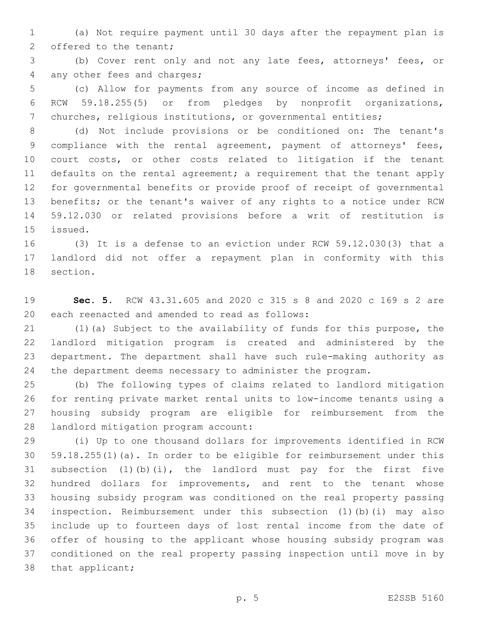(a) Not require payment until 30 days after the repayment plan is 2 offered to the tenant;

 (b) Cover rent only and not any late fees, attorneys' fees, or 4 any other fees and charges;

 (c) Allow for payments from any source of income as defined in RCW 59.18.255(5) or from pledges by nonprofit organizations, churches, religious institutions, or governmental entities;

 (d) Not include provisions or be conditioned on: The tenant's compliance with the rental agreement, payment of attorneys' fees, court costs, or other costs related to litigation if the tenant 11 defaults on the rental agreement; a requirement that the tenant apply for governmental benefits or provide proof of receipt of governmental benefits; or the tenant's waiver of any rights to a notice under RCW 59.12.030 or related provisions before a writ of restitution is 15 issued.

 (3) It is a defense to an eviction under RCW 59.12.030(3) that a landlord did not offer a repayment plan in conformity with this 18 section.

 **Sec. 5.** RCW 43.31.605 and 2020 c 315 s 8 and 2020 c 169 s 2 are 20 each reenacted and amended to read as follows:

 (1)(a) Subject to the availability of funds for this purpose, the landlord mitigation program is created and administered by the department. The department shall have such rule-making authority as the department deems necessary to administer the program.

 (b) The following types of claims related to landlord mitigation for renting private market rental units to low-income tenants using a housing subsidy program are eligible for reimbursement from the 28 landlord mitigation program account:

 (i) Up to one thousand dollars for improvements identified in RCW 59.18.255(1)(a). In order to be eligible for reimbursement under this subsection (1)(b)(i), the landlord must pay for the first five hundred dollars for improvements, and rent to the tenant whose housing subsidy program was conditioned on the real property passing inspection. Reimbursement under this subsection (1)(b)(i) may also include up to fourteen days of lost rental income from the date of offer of housing to the applicant whose housing subsidy program was conditioned on the real property passing inspection until move in by 38 that applicant;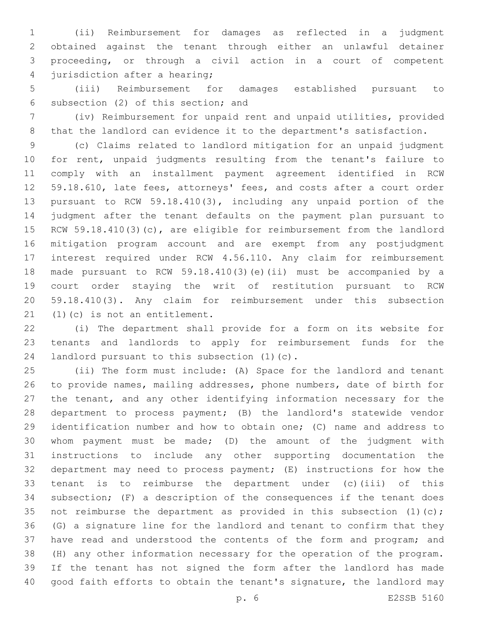(ii) Reimbursement for damages as reflected in a judgment obtained against the tenant through either an unlawful detainer proceeding, or through a civil action in a court of competent 4 jurisdiction after a hearing;

 (iii) Reimbursement for damages established pursuant to 6 subsection (2) of this section; and

 (iv) Reimbursement for unpaid rent and unpaid utilities, provided that the landlord can evidence it to the department's satisfaction.

 (c) Claims related to landlord mitigation for an unpaid judgment for rent, unpaid judgments resulting from the tenant's failure to comply with an installment payment agreement identified in RCW 59.18.610, late fees, attorneys' fees, and costs after a court order pursuant to RCW 59.18.410(3), including any unpaid portion of the judgment after the tenant defaults on the payment plan pursuant to RCW 59.18.410(3)(c), are eligible for reimbursement from the landlord mitigation program account and are exempt from any postjudgment interest required under RCW 4.56.110. Any claim for reimbursement made pursuant to RCW 59.18.410(3)(e)(ii) must be accompanied by a court order staying the writ of restitution pursuant to RCW 59.18.410(3). Any claim for reimbursement under this subsection  $(1)(c)$  is not an entitlement.

 (i) The department shall provide for a form on its website for tenants and landlords to apply for reimbursement funds for the 24 landlord pursuant to this subsection  $(1)(c)$ .

 (ii) The form must include: (A) Space for the landlord and tenant to provide names, mailing addresses, phone numbers, date of birth for the tenant, and any other identifying information necessary for the department to process payment; (B) the landlord's statewide vendor identification number and how to obtain one; (C) name and address to whom payment must be made; (D) the amount of the judgment with instructions to include any other supporting documentation the department may need to process payment; (E) instructions for how the tenant is to reimburse the department under (c)(iii) of this subsection; (F) a description of the consequences if the tenant does 35 not reimburse the department as provided in this subsection (1)(c); (G) a signature line for the landlord and tenant to confirm that they have read and understood the contents of the form and program; and (H) any other information necessary for the operation of the program. If the tenant has not signed the form after the landlord has made good faith efforts to obtain the tenant's signature, the landlord may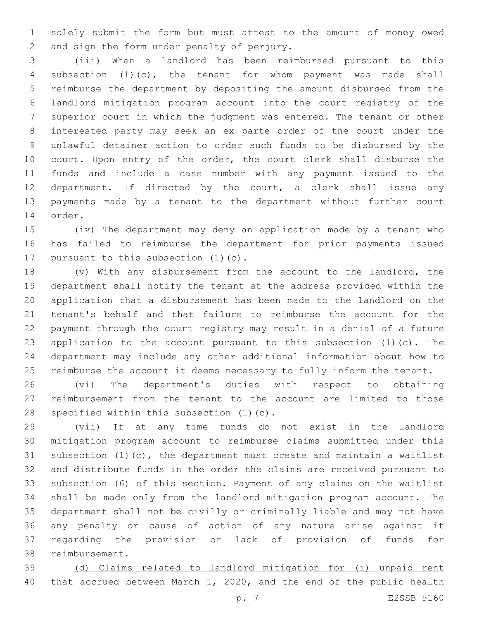solely submit the form but must attest to the amount of money owed 2 and sign the form under penalty of perjury.

 (iii) When a landlord has been reimbursed pursuant to this subsection (1)(c), the tenant for whom payment was made shall reimburse the department by depositing the amount disbursed from the landlord mitigation program account into the court registry of the superior court in which the judgment was entered. The tenant or other interested party may seek an ex parte order of the court under the unlawful detainer action to order such funds to be disbursed by the 10 court. Upon entry of the order, the court clerk shall disburse the funds and include a case number with any payment issued to the department. If directed by the court, a clerk shall issue any payments made by a tenant to the department without further court 14 order.

 (iv) The department may deny an application made by a tenant who has failed to reimburse the department for prior payments issued 17 pursuant to this subsection  $(1)(c)$ .

 (v) With any disbursement from the account to the landlord, the department shall notify the tenant at the address provided within the application that a disbursement has been made to the landlord on the tenant's behalf and that failure to reimburse the account for the payment through the court registry may result in a denial of a future application to the account pursuant to this subsection (1)(c). The department may include any other additional information about how to reimburse the account it deems necessary to fully inform the tenant.

 (vi) The department's duties with respect to obtaining reimbursement from the tenant to the account are limited to those 28 specified within this subsection (1)(c).

 (vii) If at any time funds do not exist in the landlord mitigation program account to reimburse claims submitted under this subsection (1)(c), the department must create and maintain a waitlist and distribute funds in the order the claims are received pursuant to subsection (6) of this section. Payment of any claims on the waitlist shall be made only from the landlord mitigation program account. The department shall not be civilly or criminally liable and may not have any penalty or cause of action of any nature arise against it regarding the provision or lack of provision of funds for 38 reimbursement.

 (d) Claims related to landlord mitigation for (i) unpaid rent that accrued between March 1, 2020, and the end of the public health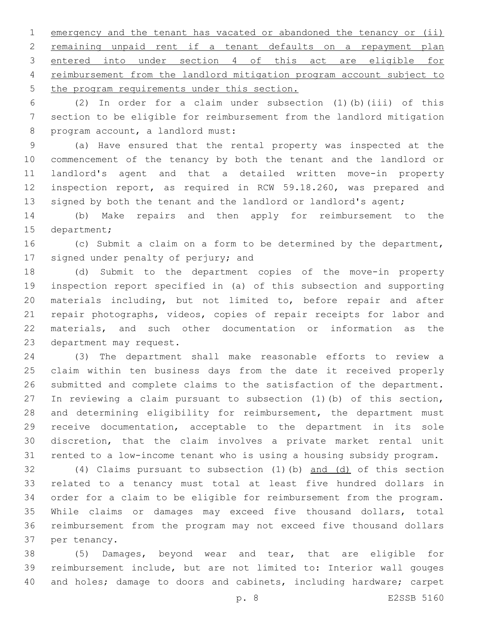emergency and the tenant has vacated or abandoned the tenancy or (ii) remaining unpaid rent if a tenant defaults on a repayment plan entered into under section 4 of this act are eligible for reimbursement from the landlord mitigation program account subject to 5 the program requirements under this section.

 (2) In order for a claim under subsection (1)(b)(iii) of this section to be eligible for reimbursement from the landlord mitigation 8 program account, a landlord must:

 (a) Have ensured that the rental property was inspected at the commencement of the tenancy by both the tenant and the landlord or landlord's agent and that a detailed written move-in property inspection report, as required in RCW 59.18.260, was prepared and 13 signed by both the tenant and the landlord or landlord's agent;

 (b) Make repairs and then apply for reimbursement to the 15 department;

 (c) Submit a claim on a form to be determined by the department, 17 signed under penalty of perjury; and

 (d) Submit to the department copies of the move-in property inspection report specified in (a) of this subsection and supporting materials including, but not limited to, before repair and after repair photographs, videos, copies of repair receipts for labor and materials, and such other documentation or information as the 23 department may request.

 (3) The department shall make reasonable efforts to review a claim within ten business days from the date it received properly submitted and complete claims to the satisfaction of the department. In reviewing a claim pursuant to subsection (1)(b) of this section, and determining eligibility for reimbursement, the department must receive documentation, acceptable to the department in its sole discretion, that the claim involves a private market rental unit rented to a low-income tenant who is using a housing subsidy program.

 (4) Claims pursuant to subsection (1)(b) and (d) of this section related to a tenancy must total at least five hundred dollars in order for a claim to be eligible for reimbursement from the program. While claims or damages may exceed five thousand dollars, total reimbursement from the program may not exceed five thousand dollars 37 per tenancy.

 (5) Damages, beyond wear and tear, that are eligible for reimbursement include, but are not limited to: Interior wall gouges and holes; damage to doors and cabinets, including hardware; carpet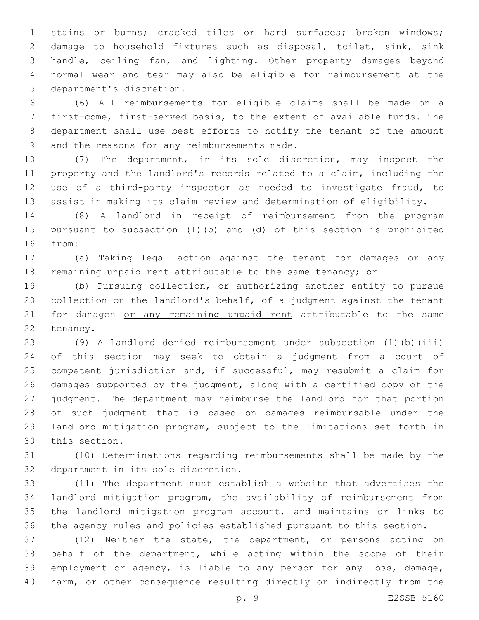stains or burns; cracked tiles or hard surfaces; broken windows; damage to household fixtures such as disposal, toilet, sink, sink handle, ceiling fan, and lighting. Other property damages beyond normal wear and tear may also be eligible for reimbursement at the 5 department's discretion.

 (6) All reimbursements for eligible claims shall be made on a first-come, first-served basis, to the extent of available funds. The department shall use best efforts to notify the tenant of the amount 9 and the reasons for any reimbursements made.

 (7) The department, in its sole discretion, may inspect the property and the landlord's records related to a claim, including the use of a third-party inspector as needed to investigate fraud, to assist in making its claim review and determination of eligibility.

 (8) A landlord in receipt of reimbursement from the program 15 pursuant to subsection (1)(b) and (d) of this section is prohibited 16 from:

 (a) Taking legal action against the tenant for damages or any remaining unpaid rent attributable to the same tenancy; or

 (b) Pursuing collection, or authorizing another entity to pursue collection on the landlord's behalf, of a judgment against the tenant 21 for damages or any remaining unpaid rent attributable to the same 22 tenancy.

 (9) A landlord denied reimbursement under subsection (1)(b)(iii) of this section may seek to obtain a judgment from a court of competent jurisdiction and, if successful, may resubmit a claim for damages supported by the judgment, along with a certified copy of the judgment. The department may reimburse the landlord for that portion of such judgment that is based on damages reimbursable under the landlord mitigation program, subject to the limitations set forth in 30 this section.

 (10) Determinations regarding reimbursements shall be made by the 32 department in its sole discretion.

 (11) The department must establish a website that advertises the landlord mitigation program, the availability of reimbursement from the landlord mitigation program account, and maintains or links to the agency rules and policies established pursuant to this section.

 (12) Neither the state, the department, or persons acting on behalf of the department, while acting within the scope of their employment or agency, is liable to any person for any loss, damage, harm, or other consequence resulting directly or indirectly from the

p. 9 E2SSB 5160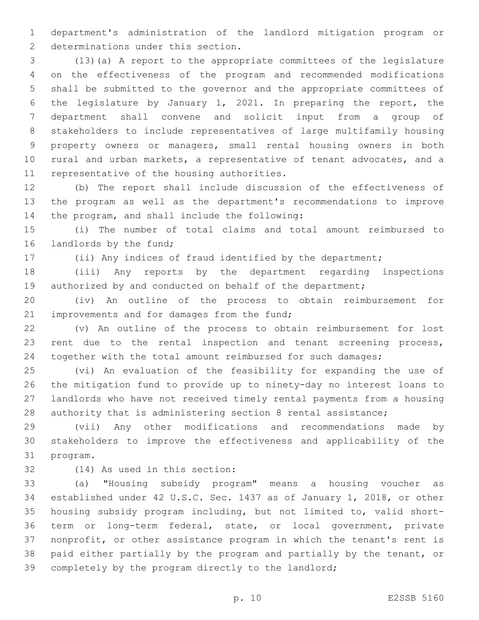department's administration of the landlord mitigation program or 2 determinations under this section.

 (13)(a) A report to the appropriate committees of the legislature on the effectiveness of the program and recommended modifications shall be submitted to the governor and the appropriate committees of the legislature by January 1, 2021. In preparing the report, the department shall convene and solicit input from a group of stakeholders to include representatives of large multifamily housing property owners or managers, small rental housing owners in both rural and urban markets, a representative of tenant advocates, and a 11 representative of the housing authorities.

 (b) The report shall include discussion of the effectiveness of the program as well as the department's recommendations to improve 14 the program, and shall include the following:

 (i) The number of total claims and total amount reimbursed to 16 landlords by the fund;

(ii) Any indices of fraud identified by the department;

 (iii) Any reports by the department regarding inspections 19 authorized by and conducted on behalf of the department;

 (iv) An outline of the process to obtain reimbursement for 21 improvements and for damages from the fund;

 (v) An outline of the process to obtain reimbursement for lost rent due to the rental inspection and tenant screening process, together with the total amount reimbursed for such damages;

 (vi) An evaluation of the feasibility for expanding the use of the mitigation fund to provide up to ninety-day no interest loans to landlords who have not received timely rental payments from a housing authority that is administering section 8 rental assistance;

 (vii) Any other modifications and recommendations made by stakeholders to improve the effectiveness and applicability of the 31 program.

32 (14) As used in this section:

 (a) "Housing subsidy program" means a housing voucher as established under 42 U.S.C. Sec. 1437 as of January 1, 2018, or other housing subsidy program including, but not limited to, valid short- term or long-term federal, state, or local government, private nonprofit, or other assistance program in which the tenant's rent is paid either partially by the program and partially by the tenant, or completely by the program directly to the landlord;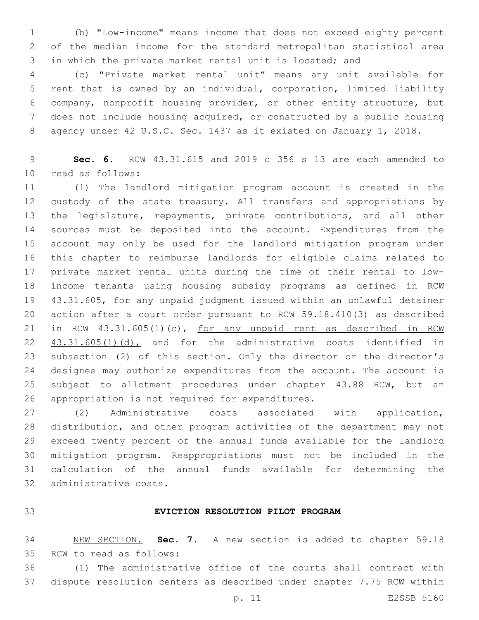(b) "Low-income" means income that does not exceed eighty percent of the median income for the standard metropolitan statistical area in which the private market rental unit is located; and

 (c) "Private market rental unit" means any unit available for rent that is owned by an individual, corporation, limited liability company, nonprofit housing provider, or other entity structure, but does not include housing acquired, or constructed by a public housing agency under 42 U.S.C. Sec. 1437 as it existed on January 1, 2018.

 **Sec. 6.** RCW 43.31.615 and 2019 c 356 s 13 are each amended to 10 read as follows:

 (1) The landlord mitigation program account is created in the custody of the state treasury. All transfers and appropriations by the legislature, repayments, private contributions, and all other sources must be deposited into the account. Expenditures from the account may only be used for the landlord mitigation program under this chapter to reimburse landlords for eligible claims related to private market rental units during the time of their rental to low- income tenants using housing subsidy programs as defined in RCW 43.31.605, for any unpaid judgment issued within an unlawful detainer action after a court order pursuant to RCW 59.18.410(3) as described in RCW 43.31.605(1)(c), for any unpaid rent as described in RCW 22 43.31.605(1)(d), and for the administrative costs identified in subsection (2) of this section. Only the director or the director's designee may authorize expenditures from the account. The account is subject to allotment procedures under chapter 43.88 RCW, but an 26 appropriation is not required for expenditures.

 (2) Administrative costs associated with application, distribution, and other program activities of the department may not exceed twenty percent of the annual funds available for the landlord mitigation program. Reappropriations must not be included in the calculation of the annual funds available for determining the 32 administrative costs.

### **EVICTION RESOLUTION PILOT PROGRAM**

 NEW SECTION. **Sec. 7.** A new section is added to chapter 59.18 35 RCW to read as follows:

 (1) The administrative office of the courts shall contract with dispute resolution centers as described under chapter 7.75 RCW within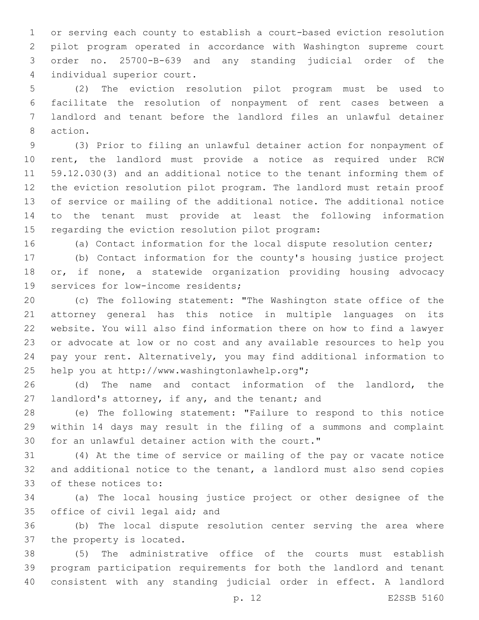or serving each county to establish a court-based eviction resolution pilot program operated in accordance with Washington supreme court order no. 25700-B-639 and any standing judicial order of the 4 individual superior court.

 (2) The eviction resolution pilot program must be used to facilitate the resolution of nonpayment of rent cases between a landlord and tenant before the landlord files an unlawful detainer 8 action.

 (3) Prior to filing an unlawful detainer action for nonpayment of rent, the landlord must provide a notice as required under RCW 59.12.030(3) and an additional notice to the tenant informing them of the eviction resolution pilot program. The landlord must retain proof of service or mailing of the additional notice. The additional notice to the tenant must provide at least the following information 15 regarding the eviction resolution pilot program:

(a) Contact information for the local dispute resolution center;

 (b) Contact information for the county's housing justice project or, if none, a statewide organization providing housing advocacy 19 services for low-income residents;

 (c) The following statement: "The Washington state office of the attorney general has this notice in multiple languages on its website. You will also find information there on how to find a lawyer or advocate at low or no cost and any available resources to help you pay your rent. Alternatively, you may find additional information to 25 help you at http://www.washingtonlawhelp.org";

 (d) The name and contact information of the landlord, the 27 landlord's attorney, if any, and the tenant; and

 (e) The following statement: "Failure to respond to this notice within 14 days may result in the filing of a summons and complaint 30 for an unlawful detainer action with the court."

 (4) At the time of service or mailing of the pay or vacate notice and additional notice to the tenant, a landlord must also send copies 33 of these notices to:

 (a) The local housing justice project or other designee of the 35 office of civil legal aid; and

 (b) The local dispute resolution center serving the area where 37 the property is located.

 (5) The administrative office of the courts must establish program participation requirements for both the landlord and tenant consistent with any standing judicial order in effect. A landlord

p. 12 E2SSB 5160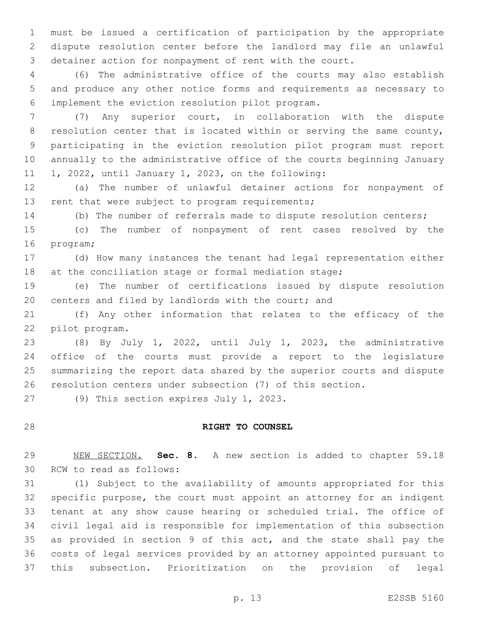must be issued a certification of participation by the appropriate dispute resolution center before the landlord may file an unlawful detainer action for nonpayment of rent with the court.

 (6) The administrative office of the courts may also establish and produce any other notice forms and requirements as necessary to implement the eviction resolution pilot program.6

 (7) Any superior court, in collaboration with the dispute 8 resolution center that is located within or serving the same county, participating in the eviction resolution pilot program must report annually to the administrative office of the courts beginning January 11 1, 2022, until January 1, 2023, on the following:

 (a) The number of unlawful detainer actions for nonpayment of 13 rent that were subject to program requirements;

(b) The number of referrals made to dispute resolution centers;

 (c) The number of nonpayment of rent cases resolved by the 16 program;

 (d) How many instances the tenant had legal representation either 18 at the conciliation stage or formal mediation stage;

 (e) The number of certifications issued by dispute resolution centers and filed by landlords with the court; and

 (f) Any other information that relates to the efficacy of the 22 pilot program.

 (8) By July 1, 2022, until July 1, 2023, the administrative office of the courts must provide a report to the legislature summarizing the report data shared by the superior courts and dispute resolution centers under subsection (7) of this section.

27 (9) This section expires July 1, 2023.

# **RIGHT TO COUNSEL**

 NEW SECTION. **Sec. 8.** A new section is added to chapter 59.18 30 RCW to read as follows:

 (1) Subject to the availability of amounts appropriated for this specific purpose, the court must appoint an attorney for an indigent tenant at any show cause hearing or scheduled trial. The office of civil legal aid is responsible for implementation of this subsection as provided in section 9 of this act, and the state shall pay the costs of legal services provided by an attorney appointed pursuant to this subsection. Prioritization on the provision of legal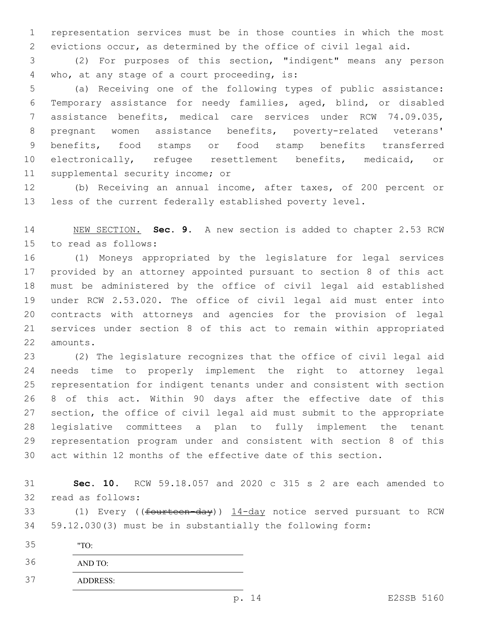representation services must be in those counties in which the most evictions occur, as determined by the office of civil legal aid.

 (2) For purposes of this section, "indigent" means any person 4 who, at any stage of a court proceeding, is:

 (a) Receiving one of the following types of public assistance: Temporary assistance for needy families, aged, blind, or disabled assistance benefits, medical care services under RCW 74.09.035, pregnant women assistance benefits, poverty-related veterans' benefits, food stamps or food stamp benefits transferred electronically, refugee resettlement benefits, medicaid, or 11 supplemental security income; or

 (b) Receiving an annual income, after taxes, of 200 percent or less of the current federally established poverty level.

 NEW SECTION. **Sec. 9.** A new section is added to chapter 2.53 RCW 15 to read as follows:

 (1) Moneys appropriated by the legislature for legal services provided by an attorney appointed pursuant to section 8 of this act must be administered by the office of civil legal aid established under RCW 2.53.020. The office of civil legal aid must enter into contracts with attorneys and agencies for the provision of legal services under section 8 of this act to remain within appropriated 22 amounts.

 (2) The legislature recognizes that the office of civil legal aid needs time to properly implement the right to attorney legal representation for indigent tenants under and consistent with section 8 of this act. Within 90 days after the effective date of this section, the office of civil legal aid must submit to the appropriate legislative committees a plan to fully implement the tenant representation program under and consistent with section 8 of this act within 12 months of the effective date of this section.

 **Sec. 10.** RCW 59.18.057 and 2020 c 315 s 2 are each amended to 32 read as follows:

33 (1) Every ((fourteen-day)) 14-day notice served pursuant to RCW 59.12.030(3) must be in substantially the following form:

"TO:

AND TO:

ADDRESS: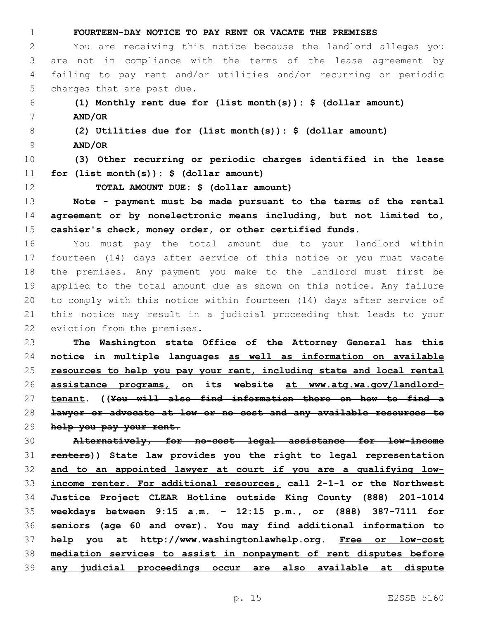| $\mathbf 1$ | FOURTEEN-DAY NOTICE TO PAY RENT OR VACATE THE PREMISES                  |
|-------------|-------------------------------------------------------------------------|
| 2           | You are receiving this notice because the landlord alleges you          |
| 3           | are not in compliance with the terms of the lease agreement by          |
| 4           | failing to pay rent and/or utilities and/or recurring or periodic       |
| 5           | charges that are past due.                                              |
| 6           | (1) Monthly rent due for (list month(s)): $\frac{1}{2}$ (dollar amount) |
| 7           | AND/OR                                                                  |
| 8           | (2) Utilities due for (list month(s)): $\frac{1}{2}$ (dollar amount)    |
| 9           | AND/OR                                                                  |
| 10          | (3) Other recurring or periodic charges identified in the lease         |
| 11          | for $(list month(s)) :$ \$ (dollar amount)                              |
| 12          | TOTAL AMOUNT DUE: \$ (dollar amount)                                    |
| 13          | Note - payment must be made pursuant to the terms of the rental         |
| 14          | agreement or by nonelectronic means including, but not limited to,      |
| 15          | cashier's check, money order, or other certified funds.                 |
| 16          | must pay the total amount due to your landlord within<br>You            |
| 17          | fourteen (14) days after service of this notice or you must vacate      |
| 18          | the premises. Any payment you make to the landlord must first be        |
| 19          | applied to the total amount due as shown on this notice. Any failure    |
| 20          | to comply with this notice within fourteen (14) days after service of   |
| 21          | this notice may result in a judicial proceeding that leads to your      |
| 22          | eviction from the premises.                                             |
| 23          | The Washington state Office of the Attorney General has this            |
| 24          | notice in multiple languages as well as information on available        |
| 25          | resources to help you pay your rent, including state and local rental   |
| 26          | assistance programs, on its website at www.atg.wa.gov/landlord-         |
| 27          | tenant. ((You will also find information there on how to find a         |
| 28          | lawyer or advocate at low or no cost and any available resources to     |
| 29          | help you pay your rent.                                                 |
| 30          | Alternatively, for no-cost legal assistance for low-income              |
| 31          | renters)) State law provides you the right to legal representation      |

 **and to an appointed lawyer at court if you are a qualifying low- income renter. For additional resources, call 2-1-1 or the Northwest Justice Project CLEAR Hotline outside King County (888) 201-1014 weekdays between 9:15 a.m. – 12:15 p.m., or (888) 387-7111 for seniors (age 60 and over). You may find additional information to help you at http://www.washingtonlawhelp.org. Free or low-cost mediation services to assist in nonpayment of rent disputes before any judicial proceedings occur are also available at dispute**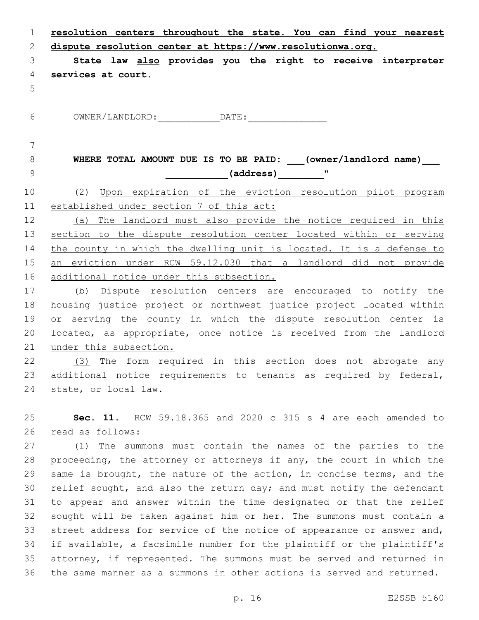| $\mathbf 1$ | resolution centers throughout the state. You can find your nearest   |
|-------------|----------------------------------------------------------------------|
| 2           | dispute resolution center at https://www.resolutionwa.org.           |
| 3           | State law also provides you the right to receive interpreter         |
| 4           | services at court.                                                   |
| 5           |                                                                      |
| 6           |                                                                      |
| 7           |                                                                      |
| 8           | WHERE TOTAL AMOUNT DUE IS TO BE PAID: (owner/landlord name)          |
| 9           | (address) "                                                          |
| 10          | (2) Upon expiration of the eviction resolution pilot program         |
| 11          | established under section 7 of this act:                             |
| 12          | (a) The landlord must also provide the notice required in this       |
| 13          | section to the dispute resolution center located within or serving   |
| 14          | the county in which the dwelling unit is located. It is a defense to |
| 15          | an eviction under RCW 59.12.030 that a landlord did not provide      |
| 16          | additional notice under this subsection.                             |
| 17          | (b) Dispute resolution centers are encouraged to notify the          |
| 18          | housing justice project or northwest justice project located within  |
| 19          | or serving the county in which the dispute resolution center is      |
| 20          | located, as appropriate, once notice is received from the landlord   |
| 21          | under this subsection.                                               |
| 22          | (3) The form required in this section does not abrogate any          |
| 23          | additional notice requirements to tenants as required by federal,    |

25 **Sec. 11.** RCW 59.18.365 and 2020 c 315 s 4 are each amended to read as follows:26

24 state, or local law.

 (1) The summons must contain the names of the parties to the proceeding, the attorney or attorneys if any, the court in which the same is brought, the nature of the action, in concise terms, and the relief sought, and also the return day; and must notify the defendant to appear and answer within the time designated or that the relief sought will be taken against him or her. The summons must contain a 33 street address for service of the notice of appearance or answer and, if available, a facsimile number for the plaintiff or the plaintiff's attorney, if represented. The summons must be served and returned in the same manner as a summons in other actions is served and returned.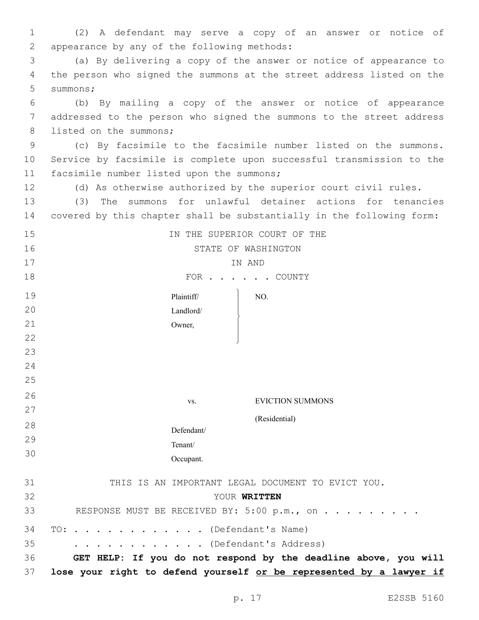| 1  | (2) A defendant may serve a copy of an answer or notice of            |
|----|-----------------------------------------------------------------------|
| 2  | appearance by any of the following methods:                           |
| 3  | (a) By delivering a copy of the answer or notice of appearance to     |
| 4  | the person who signed the summons at the street address listed on the |
| 5  | summons;                                                              |
| 6  | (b) By mailing a copy of the answer or notice of appearance           |
| 7  | addressed to the person who signed the summons to the street address  |
| 8  | listed on the summons;                                                |
| 9  | (c) By facsimile to the facsimile number listed on the summons.       |
| 10 | Service by facsimile is complete upon successful transmission to the  |
| 11 | facsimile number listed upon the summons;                             |
| 12 | (d) As otherwise authorized by the superior court civil rules.        |
| 13 | The summons for unlawful detainer actions for tenancies<br>(3)        |
| 14 | covered by this chapter shall be substantially in the following form: |
| 15 | IN THE SUPERIOR COURT OF THE                                          |
| 16 | STATE OF WASHINGTON                                                   |
| 17 | IN AND                                                                |
| 18 | FOR COUNTY                                                            |
| 19 | Plaintiff/<br>NO.                                                     |
| 20 | Landlord/                                                             |
| 21 | Owner,                                                                |
| 22 |                                                                       |
| 23 |                                                                       |
| 24 |                                                                       |
| 25 |                                                                       |
| 26 | <b>EVICTION SUMMONS</b><br>VS.                                        |
| 27 |                                                                       |
| 28 | (Residential)<br>Defendant/                                           |
| 29 | Tenant/                                                               |

| 31 | THIS IS AN IMPORTANT LEGAL DOCUMENT TO EVICT YOU. |  |
|----|---------------------------------------------------|--|
| 32 | YOUR WRITTEN                                      |  |
| 33 | RESPONSE MUST BE RECEIVED BY: 5:00 p.m., on       |  |
|    | 34 TO: (Defendant's Name)                         |  |
| 35 | $\cdots$ (Defendant's Address)                    |  |

Occupant.

30

36 **GET HELP: If you do not respond by the deadline above, you will**  37 **lose your right to defend yourself or be represented by a lawyer if**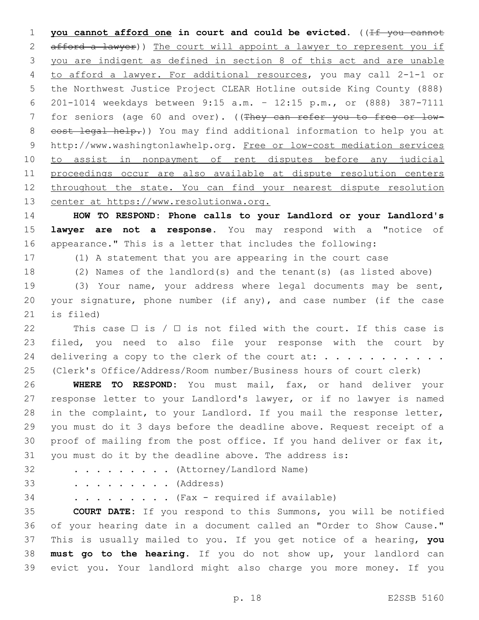**you cannot afford one in court and could be evicted.** ((If you cannot 2 afford a lawyer)) The court will appoint a lawyer to represent you if you are indigent as defined in section 8 of this act and are unable to afford a lawyer. For additional resources, you may call 2-1-1 or the Northwest Justice Project CLEAR Hotline outside King County (888) 201-1014 weekdays between 9:15 a.m. – 12:15 p.m., or (888) 387-7111 7 for seniors (age 60 and over). ((They can refer you to free or low- cost legal help.)) You may find additional information to help you at http://www.washingtonlawhelp.org. Free or low-cost mediation services to assist in nonpayment of rent disputes before any judicial proceedings occur are also available at dispute resolution centers 12 throughout the state. You can find your nearest dispute resolution center at https://www.resolutionwa.org.

 **HOW TO RESPOND: Phone calls to your Landlord or your Landlord's lawyer are not a response.** You may respond with a "notice of appearance." This is a letter that includes the following:

- 
- 

(1) A statement that you are appearing in the court case

(2) Names of the landlord(s) and the tenant(s) (as listed above)

 (3) Your name, your address where legal documents may be sent, your signature, phone number (if any), and case number (if the case is filed)

22 This case  $\Box$  is /  $\Box$  is not filed with the court. If this case is filed, you need to also file your response with the court by delivering a copy to the clerk of the court at: . . . . . . . . . . . (Clerk's Office/Address/Room number/Business hours of court clerk)

 **WHERE TO RESPOND:** You must mail, fax, or hand deliver your response letter to your Landlord's lawyer, or if no lawyer is named in the complaint, to your Landlord. If you mail the response letter, you must do it 3 days before the deadline above. Request receipt of a proof of mailing from the post office. If you hand deliver or fax it, you must do it by the deadline above. The address is:

32 . . . . . . . . (Attorney/Landlord Name)

. . . . . . . . . (Address)

. . . . . . . . . (Fax - required if available)

 **COURT DATE:** If you respond to this Summons, you will be notified of your hearing date in a document called an "Order to Show Cause." This is usually mailed to you. If you get notice of a hearing, **you must go to the hearing**. If you do not show up, your landlord can evict you. Your landlord might also charge you more money. If you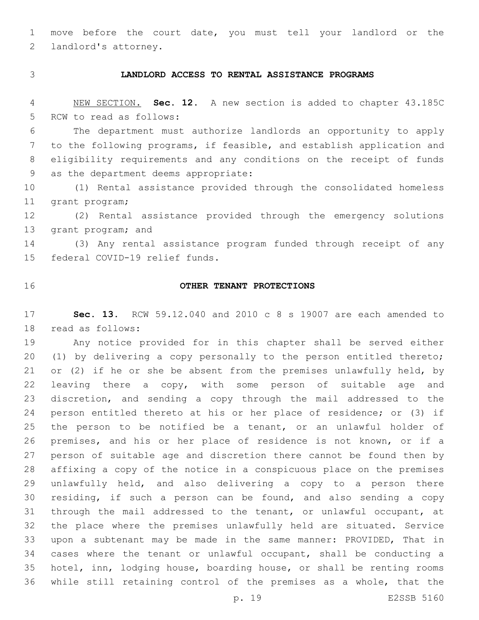move before the court date, you must tell your landlord or the 2 landlord's attorney.

## **LANDLORD ACCESS TO RENTAL ASSISTANCE PROGRAMS**

 NEW SECTION. **Sec. 12.** A new section is added to chapter 43.185C 5 RCW to read as follows:

 The department must authorize landlords an opportunity to apply to the following programs, if feasible, and establish application and eligibility requirements and any conditions on the receipt of funds 9 as the department deems appropriate:

 (1) Rental assistance provided through the consolidated homeless 11 grant program;

 (2) Rental assistance provided through the emergency solutions 13 grant program; and

 (3) Any rental assistance program funded through receipt of any 15 federal COVID-19 relief funds.

### **OTHER TENANT PROTECTIONS**

 **Sec. 13.** RCW 59.12.040 and 2010 c 8 s 19007 are each amended to 18 read as follows:

 Any notice provided for in this chapter shall be served either (1) by delivering a copy personally to the person entitled thereto; or (2) if he or she be absent from the premises unlawfully held, by 22 leaving there a copy, with some person of suitable age and discretion, and sending a copy through the mail addressed to the person entitled thereto at his or her place of residence; or (3) if the person to be notified be a tenant, or an unlawful holder of premises, and his or her place of residence is not known, or if a person of suitable age and discretion there cannot be found then by affixing a copy of the notice in a conspicuous place on the premises unlawfully held, and also delivering a copy to a person there residing, if such a person can be found, and also sending a copy through the mail addressed to the tenant, or unlawful occupant, at the place where the premises unlawfully held are situated. Service upon a subtenant may be made in the same manner: PROVIDED, That in cases where the tenant or unlawful occupant, shall be conducting a hotel, inn, lodging house, boarding house, or shall be renting rooms while still retaining control of the premises as a whole, that the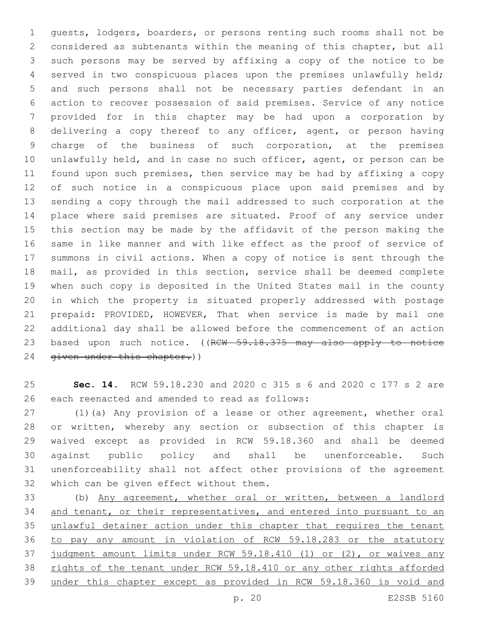guests, lodgers, boarders, or persons renting such rooms shall not be considered as subtenants within the meaning of this chapter, but all such persons may be served by affixing a copy of the notice to be served in two conspicuous places upon the premises unlawfully held; and such persons shall not be necessary parties defendant in an action to recover possession of said premises. Service of any notice provided for in this chapter may be had upon a corporation by delivering a copy thereof to any officer, agent, or person having charge of the business of such corporation, at the premises unlawfully held, and in case no such officer, agent, or person can be found upon such premises, then service may be had by affixing a copy of such notice in a conspicuous place upon said premises and by sending a copy through the mail addressed to such corporation at the place where said premises are situated. Proof of any service under this section may be made by the affidavit of the person making the same in like manner and with like effect as the proof of service of summons in civil actions. When a copy of notice is sent through the mail, as provided in this section, service shall be deemed complete when such copy is deposited in the United States mail in the county in which the property is situated properly addressed with postage prepaid: PROVIDED, HOWEVER, That when service is made by mail one additional day shall be allowed before the commencement of an action 23 based upon such notice. ((RCW 59.18.375 may also apply to notice 24 given under this chapter.))

 **Sec. 14.** RCW 59.18.230 and 2020 c 315 s 6 and 2020 c 177 s 2 are 26 each reenacted and amended to read as follows:

 (1)(a) Any provision of a lease or other agreement, whether oral or written, whereby any section or subsection of this chapter is waived except as provided in RCW 59.18.360 and shall be deemed against public policy and shall be unenforceable. Such unenforceability shall not affect other provisions of the agreement 32 which can be given effect without them.

 (b) Any agreement, whether oral or written, between a landlord 34 and tenant, or their representatives, and entered into pursuant to an 35 unlawful detainer action under this chapter that requires the tenant to pay any amount in violation of RCW 59.18.283 or the statutory judgment amount limits under RCW 59.18.410 (1) or (2), or waives any rights of the tenant under RCW 59.18.410 or any other rights afforded under this chapter except as provided in RCW 59.18.360 is void and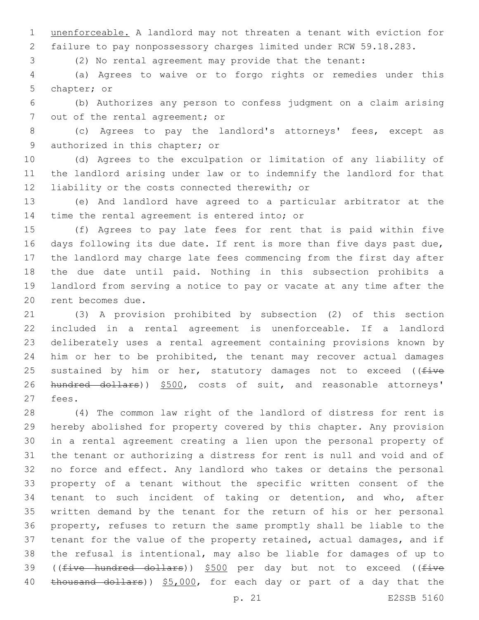unenforceable. A landlord may not threaten a tenant with eviction for failure to pay nonpossessory charges limited under RCW 59.18.283.

(2) No rental agreement may provide that the tenant:

 (a) Agrees to waive or to forgo rights or remedies under this 5 chapter; or

 (b) Authorizes any person to confess judgment on a claim arising 7 out of the rental agreement; or

 (c) Agrees to pay the landlord's attorneys' fees, except as 9 authorized in this chapter; or

 (d) Agrees to the exculpation or limitation of any liability of the landlord arising under law or to indemnify the landlord for that 12 liability or the costs connected therewith; or

 (e) And landlord have agreed to a particular arbitrator at the 14 time the rental agreement is entered into; or

 (f) Agrees to pay late fees for rent that is paid within five days following its due date. If rent is more than five days past due, the landlord may charge late fees commencing from the first day after the due date until paid. Nothing in this subsection prohibits a landlord from serving a notice to pay or vacate at any time after the 20 rent becomes due.

 (3) A provision prohibited by subsection (2) of this section included in a rental agreement is unenforceable. If a landlord deliberately uses a rental agreement containing provisions known by him or her to be prohibited, the tenant may recover actual damages 25 sustained by him or her, statutory damages not to exceed ( $f$ ive 26 hundred dollars)) \$500, costs of suit, and reasonable attorneys' 27 fees.

 (4) The common law right of the landlord of distress for rent is hereby abolished for property covered by this chapter. Any provision in a rental agreement creating a lien upon the personal property of the tenant or authorizing a distress for rent is null and void and of no force and effect. Any landlord who takes or detains the personal property of a tenant without the specific written consent of the tenant to such incident of taking or detention, and who, after written demand by the tenant for the return of his or her personal property, refuses to return the same promptly shall be liable to the tenant for the value of the property retained, actual damages, and if the refusal is intentional, may also be liable for damages of up to 39 ((five hundred dollars)) \$500 per day but not to exceed ((five 40 thousand dollars)) \$5,000, for each day or part of a day that the

p. 21 E2SSB 5160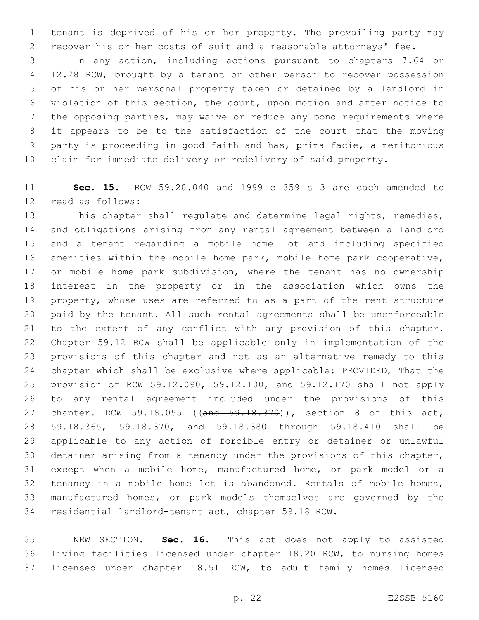tenant is deprived of his or her property. The prevailing party may recover his or her costs of suit and a reasonable attorneys' fee.

 In any action, including actions pursuant to chapters 7.64 or 12.28 RCW, brought by a tenant or other person to recover possession of his or her personal property taken or detained by a landlord in violation of this section, the court, upon motion and after notice to the opposing parties, may waive or reduce any bond requirements where it appears to be to the satisfaction of the court that the moving party is proceeding in good faith and has, prima facie, a meritorious claim for immediate delivery or redelivery of said property.

 **Sec. 15.** RCW 59.20.040 and 1999 c 359 s 3 are each amended to 12 read as follows:

 This chapter shall regulate and determine legal rights, remedies, and obligations arising from any rental agreement between a landlord and a tenant regarding a mobile home lot and including specified amenities within the mobile home park, mobile home park cooperative, 17 or mobile home park subdivision, where the tenant has no ownership interest in the property or in the association which owns the property, whose uses are referred to as a part of the rent structure paid by the tenant. All such rental agreements shall be unenforceable to the extent of any conflict with any provision of this chapter. Chapter 59.12 RCW shall be applicable only in implementation of the provisions of this chapter and not as an alternative remedy to this chapter which shall be exclusive where applicable: PROVIDED, That the provision of RCW 59.12.090, 59.12.100, and 59.12.170 shall not apply to any rental agreement included under the provisions of this 27 chapter. RCW 59.18.055 ((and 59.18.370)), section 8 of this act, 59.18.365, 59.18.370, and 59.18.380 through 59.18.410 shall be applicable to any action of forcible entry or detainer or unlawful detainer arising from a tenancy under the provisions of this chapter, except when a mobile home, manufactured home, or park model or a tenancy in a mobile home lot is abandoned. Rentals of mobile homes, manufactured homes, or park models themselves are governed by the residential landlord-tenant act, chapter 59.18 RCW.

 NEW SECTION. **Sec. 16.** This act does not apply to assisted living facilities licensed under chapter 18.20 RCW, to nursing homes licensed under chapter 18.51 RCW, to adult family homes licensed